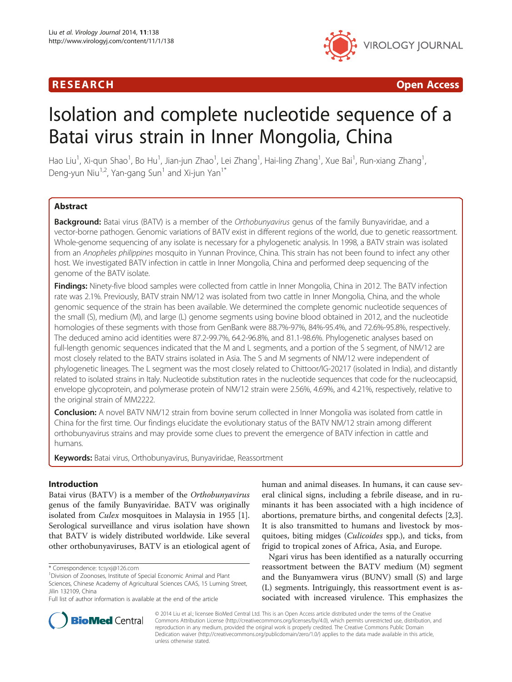# R E S EAR CH Open Access



# Isolation and complete nucleotide sequence of a Batai virus strain in Inner Mongolia, China

Hao Liu<sup>1</sup>, Xi-qun Shao<sup>1</sup>, Bo Hu<sup>1</sup>, Jian-jun Zhao<sup>1</sup>, Lei Zhang<sup>1</sup>, Hai-ling Zhang<sup>1</sup>, Xue Bai<sup>1</sup>, Run-xiang Zhang<sup>1</sup> , Deng-yun Niu<sup>1,2</sup>, Yan-gang Sun<sup>1</sup> and Xi-jun Yan<sup>1\*</sup>

# **Abstract**

Background: Batai virus (BATV) is a member of the Orthobunyavirus genus of the family Bunyaviridae, and a vector-borne pathogen. Genomic variations of BATV exist in different regions of the world, due to genetic reassortment. Whole-genome sequencing of any isolate is necessary for a phylogenetic analysis. In 1998, a BATV strain was isolated from an Anopheles philippines mosquito in Yunnan Province, China. This strain has not been found to infect any other host. We investigated BATV infection in cattle in Inner Mongolia, China and performed deep sequencing of the genome of the BATV isolate.

Findings: Ninety-five blood samples were collected from cattle in Inner Mongolia, China in 2012. The BATV infection rate was 2.1%. Previously, BATV strain NM/12 was isolated from two cattle in Inner Mongolia, China, and the whole genomic sequence of the strain has been available. We determined the complete genomic nucleotide sequences of the small (S), medium (M), and large (L) genome segments using bovine blood obtained in 2012, and the nucleotide homologies of these segments with those from GenBank were 88.7%-97%, 84%-95.4%, and 72.6%-95.8%, respectively. The deduced amino acid identities were 87.2-99.7%, 64.2-96.8%, and 81.1-98.6%. Phylogenetic analyses based on full-length genomic sequences indicated that the M and L segments, and a portion of the S segment, of NM/12 are most closely related to the BATV strains isolated in Asia. The S and M segments of NM/12 were independent of phylogenetic lineages. The L segment was the most closely related to Chittoor/IG-20217 (isolated in India), and distantly related to isolated strains in Italy. Nucleotide substitution rates in the nucleotide sequences that code for the nucleocapsid, envelope glycoprotein, and polymerase protein of NM/12 strain were 2.56%, 4.69%, and 4.21%, respectively, relative to the original strain of MM2222.

**Conclusion:** A novel BATV NM/12 strain from bovine serum collected in Inner Mongolia was isolated from cattle in China for the first time. Our findings elucidate the evolutionary status of the BATV NM/12 strain among different orthobunyavirus strains and may provide some clues to prevent the emergence of BATV infection in cattle and humans.

Keywords: Batai virus, Orthobunyavirus, Bunyaviridae, Reassortment

# Introduction

Batai virus (BATV) is a member of the Orthobunyavirus genus of the family Bunyaviridae. BATV was originally isolated from Culex mosquitoes in Malaysia in 1955 [\[1](#page-6-0)]. Serological surveillance and virus isolation have shown that BATV is widely distributed worldwide. Like several other orthobunyaviruses, BATV is an etiological agent of human and animal diseases. In humans, it can cause several clinical signs, including a febrile disease, and in ruminants it has been associated with a high incidence of abortions, premature births, and congenital defects [\[2,3](#page-6-0)]. It is also transmitted to humans and livestock by mosquitoes, biting midges (Culicoides spp.), and ticks, from frigid to tropical zones of Africa, Asia, and Europe.

Ngari virus has been identified as a naturally occurring reassortment between the BATV medium (M) segment and the Bunyamwera virus (BUNV) small (S) and large (L) segments. Intriguingly, this reassortment event is associated with increased virulence. This emphasizes the



© 2014 Liu et al.; licensee BioMed Central Ltd. This is an Open Access article distributed under the terms of the Creative Commons Attribution License [\(http://creativecommons.org/licenses/by/4.0\)](http://creativecommons.org/licenses/by/4.0), which permits unrestricted use, distribution, and reproduction in any medium, provided the original work is properly credited. The Creative Commons Public Domain Dedication waiver [\(http://creativecommons.org/publicdomain/zero/1.0/](http://creativecommons.org/publicdomain/zero/1.0/)) applies to the data made available in this article, unless otherwise stated.

<sup>\*</sup> Correspondence: [tcsyxj@126.com](mailto:tcsyxj@126.com) <sup>1</sup>

Division of Zoonoses, Institute of Special Economic Animal and Plant Sciences, Chinese Academy of Agricultural Sciences CAAS, 15 Luming Street, Jilin 132109, China

Full list of author information is available at the end of the article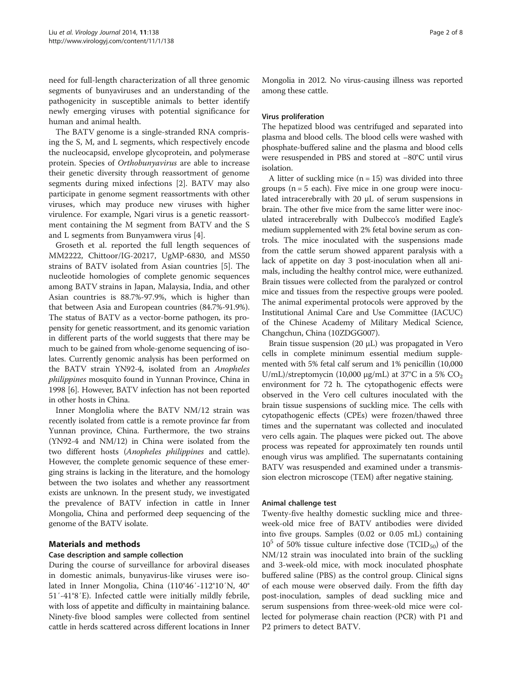need for full-length characterization of all three genomic segments of bunyaviruses and an understanding of the pathogenicity in susceptible animals to better identify newly emerging viruses with potential significance for human and animal health.

The BATV genome is a single-stranded RNA comprising the S, M, and L segments, which respectively encode the nucleocapsid, envelope glycoprotein, and polymerase protein. Species of Orthobunyavirus are able to increase their genetic diversity through reassortment of genome segments during mixed infections [[2\]](#page-6-0). BATV may also participate in genome segment reassortments with other viruses, which may produce new viruses with higher virulence. For example, Ngari virus is a genetic reassortment containing the M segment from BATV and the S and L segments from Bunyamwera virus [[4](#page-6-0)].

Groseth et al. reported the full length sequences of MM2222, Chittoor/IG-20217, UgMP-6830, and MS50 strains of BATV isolated from Asian countries [\[5](#page-6-0)]. The nucleotide homologies of complete genomic sequences among BATV strains in Japan, Malaysia, India, and other Asian countries is 88.7%-97.9%, which is higher than that between Asia and European countries (84.7%-91.9%). The status of BATV as a vector-borne pathogen, its propensity for genetic reassortment, and its genomic variation in different parts of the world suggests that there may be much to be gained from whole-genome sequencing of isolates. Currently genomic analysis has been performed on the BATV strain YN92-4, isolated from an Anopheles philippines mosquito found in Yunnan Province, China in 1998 [\[6\]](#page-6-0). However, BATV infection has not been reported in other hosts in China.

Inner Monglolia where the BATV NM/12 strain was recently isolated from cattle is a remote province far from Yunnan province, China. Furthermore, the two strains (YN92-4 and NM/12) in China were isolated from the two different hosts (Anopheles philippines and cattle). However, the complete genomic sequence of these emerging strains is lacking in the literature, and the homology between the two isolates and whether any reassortment exists are unknown. In the present study, we investigated the prevalence of BATV infection in cattle in Inner Mongolia, China and performed deep sequencing of the genome of the BATV isolate.

# Materials and methods

# Case description and sample collection

During the course of surveillance for arboviral diseases in domestic animals, bunyavirus-like viruses were isolated in Inner Mongolia, China (110°46′-112°10′N, 40° 51′-41°8′E). Infected cattle were initially mildly febrile, with loss of appetite and difficulty in maintaining balance. Ninety-five blood samples were collected from sentinel cattle in herds scattered across different locations in Inner Mongolia in 2012. No virus-causing illness was reported among these cattle.

# Virus proliferation

The hepatized blood was centrifuged and separated into plasma and blood cells. The blood cells were washed with phosphate-buffered saline and the plasma and blood cells were resuspended in PBS and stored at −80°C until virus isolation.

A litter of suckling mice  $(n = 15)$  was divided into three groups ( $n = 5$  each). Five mice in one group were inoculated intracerebrally with 20 μL of serum suspensions in brain. The other five mice from the same litter were inoculated intracerebrally with Dulbecco's modified Eagle's medium supplemented with 2% fetal bovine serum as controls. The mice inoculated with the suspensions made from the cattle serum showed apparent paralysis with a lack of appetite on day 3 post-inoculation when all animals, including the healthy control mice, were euthanized. Brain tissues were collected from the paralyzed or control mice and tissues from the respective groups were pooled. The animal experimental protocols were approved by the Institutional Animal Care and Use Committee (IACUC) of the Chinese Academy of Military Medical Science, Changchun, China (10ZDGG007).

Brain tissue suspension (20 μL) was propagated in Vero cells in complete minimum essential medium supplemented with 5% fetal calf serum and 1% penicillin (10,000 U/mL)/streptomycin (10,000  $\mu$ g/mL) at 37°C in a 5% CO<sub>2</sub> environment for 72 h. The cytopathogenic effects were observed in the Vero cell cultures inoculated with the brain tissue suspensions of suckling mice. The cells with cytopathogenic effects (CPEs) were frozen/thawed three times and the supernatant was collected and inoculated vero cells again. The plaques were picked out. The above process was repeated for approximately ten rounds until enough virus was amplified. The supernatants containing BATV was resuspended and examined under a transmission electron microscope (TEM) after negative staining.

# Animal challenge test

Twenty-five healthy domestic suckling mice and threeweek-old mice free of BATV antibodies were divided into five groups. Samples (0.02 or 0.05 mL) containing  $10^5$  of 50% tissue culture infective dose (TCID<sub>50</sub>) of the NM/12 strain was inoculated into brain of the suckling and 3-week-old mice, with mock inoculated phosphate buffered saline (PBS) as the control group. Clinical signs of each mouse were observed daily. From the fifth day post-inoculation, samples of dead suckling mice and serum suspensions from three-week-old mice were collected for polymerase chain reaction (PCR) with P1 and P2 primers to detect BATV.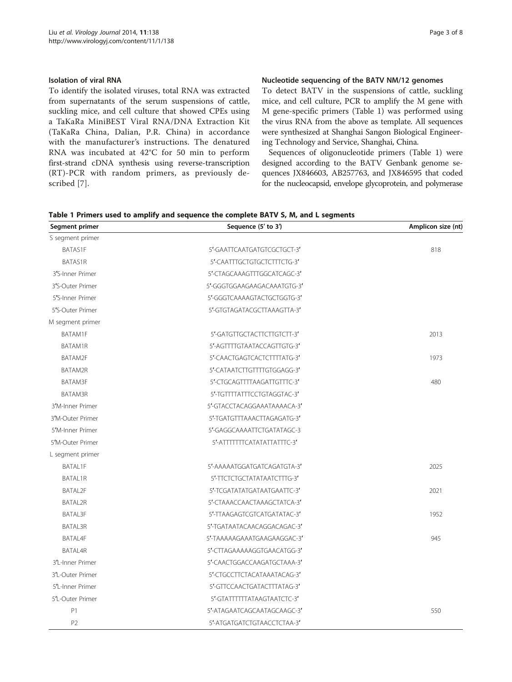To identify the isolated viruses, total RNA was extracted from supernatants of the serum suspensions of cattle, suckling mice, and cell culture that showed CPEs using a TaKaRa MiniBEST Viral RNA/DNA Extraction Kit (TaKaRa China, Dalian, P.R. China) in accordance with the manufacturer's instructions. The denatured RNA was incubated at 42°C for 50 min to perform first-strand cDNA synthesis using reverse-transcription (RT)-PCR with random primers, as previously described [[7](#page-6-0)].

# Nucleotide sequencing of the BATV NM/12 genomes

To detect BATV in the suspensions of cattle, suckling mice, and cell culture, PCR to amplify the M gene with M gene-specific primers (Table 1) was performed using the virus RNA from the above as template. All sequences were synthesized at Shanghai Sangon Biological Engineering Technology and Service, Shanghai, China.

Sequences of oligonucleotide primers (Table 1) were designed according to the BATV Genbank genome sequences JX846603, AB257763, and JX846595 that coded for the nucleocapsid, envelope glycoprotein, and polymerase

| Table 1 Primers used to amplify and sequence the complete BATV S, M, and L segments |  |
|-------------------------------------------------------------------------------------|--|
|-------------------------------------------------------------------------------------|--|

| Segment primer   | Sequence (5' to 3')         | Amplicon size (nt) |
|------------------|-----------------------------|--------------------|
| S segment primer |                             |                    |
| BATAS1F          | 5'-GAATTCAATGATGTCGCTGCT-3' | 818                |
| <b>BATAS1R</b>   | 5'-CAATTTGCTGTGCTCTTTCTG-3' |                    |
| 3'S-Inner Primer | 5'-CTAGCAAAGTTTGGCATCAGC-3' |                    |
| 3'S-Outer Primer | 5'-GGGTGGAAGAAGACAAATGTG-3' |                    |
| 5'S-Inner Primer | 5'-GGGTCAAAAGTACTGCTGGTG-3' |                    |
| 5'S-Outer Primer | 5'-GTGTAGATACGCTTAAAGTTA-3' |                    |
| M segment primer |                             |                    |
| BATAM1F          | 5'-GATGTTGCTACTTCTTGTCTT-3' | 2013               |
| BATAM1R          | 5'-AGTTTTGTAATACCAGTTGTG-3' |                    |
| BATAM2F          | 5'-CAACTGAGTCACTCTTTTATG-3' | 1973               |
| BATAM2R          | 5'-CATAATCTTGTTTTGTGGAGG-3' |                    |
| BATAM3F          | 5'-CTGCAGTTTTAAGATTGTTTC-3' | 480                |
| BATAM3R          | 5'-TGTTTTATTTCCTGTAGGTAC-3' |                    |
| 3'M-Inner Primer | 5'-GTACCTACAGGAAATAAAACA-3' |                    |
| 3'M-Outer Primer | 5'-TGATGTTTAAACTTAGAGATG-3' |                    |
| 5'M-Inner Primer | 5'-GAGGCAAAATTCTGATATAGC-3  |                    |
| 5'M-Outer Primer | 5'-ATITTITICATATATTATTIC-3' |                    |
| L segment primer |                             |                    |
| <b>BATAL1F</b>   | 5'-AAAAATGGATGATCAGATGTA-3' | 2025               |
| BATAL1R          | 5'-TTCTCTGCTATATAATCTTTG-3' |                    |
| <b>BATAL2F</b>   | 5'-TCGATATATGATAATGAATTC-3' | 2021               |
| <b>BATAL2R</b>   | 5'-CTAAACCAACTAAAGCTATCA-3' |                    |
| BATAL3F          | 5'-TTAAGAGTCGTCATGATATAC-3' | 1952               |
| BATAL3R          | 5'-TGATAATACAACAGGACAGAC-3' |                    |
| BATAL4F          | 5'-TAAAAAGAAATGAAGAAGGAC-3' | 945                |
| BATAL4R          | 5'-CTTAGAAAAAGGTGAACATGG-3' |                    |
| 3'L-Inner Primer | 5'-CAACTGGACCAAGATGCTAAA-3' |                    |
| 3'L-Outer Primer | 5'-CTGCCTTCTACATAAATACAG-3' |                    |
| 5'L-Inner Primer | 5'-GTTCCAACTGATACTTTATAG-3' |                    |
| 5'L-Outer Primer | 5'-GTATTTTTTATAAGTAATCTC-3' |                    |
| P1               | 5'-ATAGAATCAGCAATAGCAAGC-3' | 550                |
| P <sub>2</sub>   | 5'-ATGATGATCTGTAACCTCTAA-3' |                    |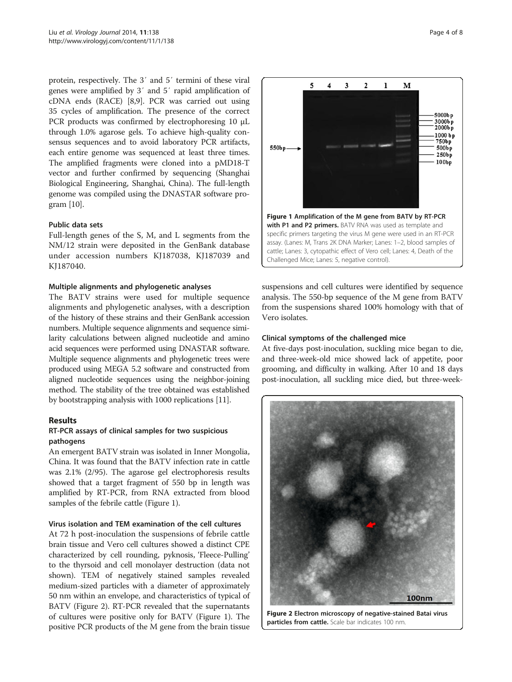<span id="page-3-0"></span>protein, respectively. The 3′ and 5′ termini of these viral genes were amplified by 3′ and 5′ rapid amplification of cDNA ends (RACE) [\[8,9](#page-6-0)]. PCR was carried out using 35 cycles of amplification. The presence of the correct PCR products was confirmed by electrophoresing 10 μL through 1.0% agarose gels. To achieve high-quality consensus sequences and to avoid laboratory PCR artifacts, each entire genome was sequenced at least three times. The amplified fragments were cloned into a pMD18-T vector and further confirmed by sequencing (Shanghai Biological Engineering, Shanghai, China). The full-length genome was compiled using the DNASTAR software program [\[10\]](#page-6-0).

# Public data sets

Full-length genes of the S, M, and L segments from the NM/12 strain were deposited in the GenBank database under accession numbers KJ187038, KJ187039 and KJ187040.

# Multiple alignments and phylogenetic analyses

The BATV strains were used for multiple sequence alignments and phylogenetic analyses, with a description of the history of these strains and their GenBank accession numbers. Multiple sequence alignments and sequence similarity calculations between aligned nucleotide and amino acid sequences were performed using DNASTAR software. Multiple sequence alignments and phylogenetic trees were produced using MEGA 5.2 software and constructed from aligned nucleotide sequences using the neighbor-joining method. The stability of the tree obtained was established by bootstrapping analysis with 1000 replications [\[11\]](#page-6-0).

# Results

# RT-PCR assays of clinical samples for two suspicious pathogens

An emergent BATV strain was isolated in Inner Mongolia, China. It was found that the BATV infection rate in cattle was 2.1% (2/95). The agarose gel electrophoresis results showed that a target fragment of 550 bp in length was amplified by RT-PCR, from RNA extracted from blood samples of the febrile cattle (Figure 1).

## Virus isolation and TEM examination of the cell cultures

At 72 h post-inoculation the suspensions of febrile cattle brain tissue and Vero cell cultures showed a distinct CPE characterized by cell rounding, pyknosis, 'Fleece-Pulling' to the thyrsoid and cell monolayer destruction (data not shown). TEM of negatively stained samples revealed medium-sized particles with a diameter of approximately 50 nm within an envelope, and characteristics of typical of BATV (Figure 2). RT-PCR revealed that the supernatants of cultures were positive only for BATV (Figure 1). The positive PCR products of the M gene from the brain tissue



suspensions and cell cultures were identified by sequence analysis. The 550-bp sequence of the M gene from BATV from the suspensions shared 100% homology with that of Vero isolates.

# Clinical symptoms of the challenged mice

At five-days post-inoculation, suckling mice began to die, and three-week-old mice showed lack of appetite, poor grooming, and difficulty in walking. After 10 and 18 days post-inoculation, all suckling mice died, but three-week-



Figure 2 Electron microscopy of negative-stained Batai virus particles from cattle. Scale bar indicates 100 nm.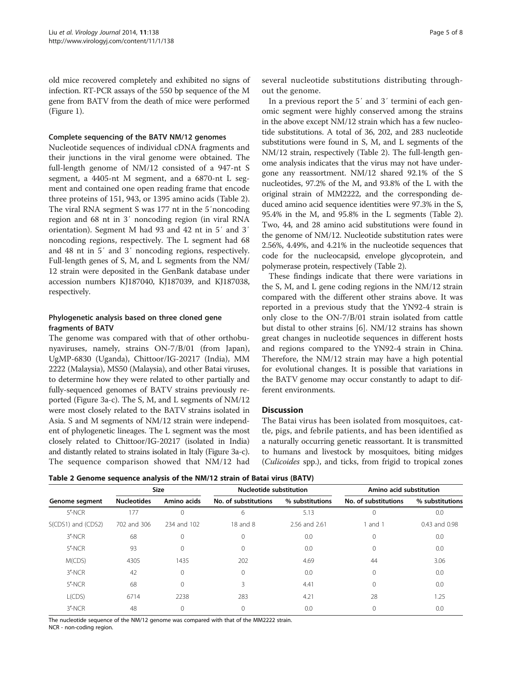<span id="page-4-0"></span>old mice recovered completely and exhibited no signs of infection. RT-PCR assays of the 550 bp sequence of the M gene from BATV from the death of mice were performed (Figure [1](#page-3-0)).

## Complete sequencing of the BATV NM/12 genomes

Nucleotide sequences of individual cDNA fragments and their junctions in the viral genome were obtained. The full-length genome of NM/12 consisted of a 947-nt S segment, a 4405-nt M segment, and a 6870-nt L segment and contained one open reading frame that encode three proteins of 151, 943, or 1395 amino acids (Table 2). The viral RNA segment S was 177 nt in the 5′noncoding region and 68 nt in 3′ noncoding region (in viral RNA orientation). Segment M had 93 and 42 nt in 5′ and 3′ noncoding regions, respectively. The L segment had 68 and 48 nt in 5′ and 3′ noncoding regions, respectively. Full-length genes of S, M, and L segments from the NM/ 12 strain were deposited in the GenBank database under accession numbers KJ187040, KJ187039, and KJ187038, respectively.

# Phylogenetic analysis based on three cloned gene fragments of BATV

The genome was compared with that of other orthobunyaviruses, namely, strains ON-7/B/01 (from Japan), UgMP-6830 (Uganda), Chittoor/IG-20217 (India), MM 2222 (Malaysia), MS50 (Malaysia), and other Batai viruses, to determine how they were related to other partially and fully-sequenced genomes of BATV strains previously reported (Figure [3a](#page-5-0)-c). The S, M, and L segments of NM/12 were most closely related to the BATV strains isolated in Asia. S and M segments of NM/12 strain were independent of phylogenetic lineages. The L segment was the most closely related to Chittoor/IG-20217 (isolated in India) and distantly related to strains isolated in Italy (Figure [3a](#page-5-0)-c). The sequence comparison showed that NM/12 had

several nucleotide substitutions distributing throughout the genome.

In a previous report the 5′ and 3′ termini of each genomic segment were highly conserved among the strains in the above except NM/12 strain which has a few nucleotide substitutions. A total of 36, 202, and 283 nucleotide substitutions were found in S, M, and L segments of the NM/12 strain, respectively (Table 2). The full-length genome analysis indicates that the virus may not have undergone any reassortment. NM/12 shared 92.1% of the S nucleotides, 97.2% of the M, and 93.8% of the L with the original strain of MM2222, and the corresponding deduced amino acid sequence identities were 97.3% in the S, 95.4% in the M, and 95.8% in the L segments (Table 2). Two, 44, and 28 amino acid substitutions were found in the genome of NM/12. Nucleotide substitution rates were 2.56%, 4.49%, and 4.21% in the nucleotide sequences that code for the nucleocapsid, envelope glycoprotein, and polymerase protein, respectively (Table 2).

These findings indicate that there were variations in the S, M, and L gene coding regions in the NM/12 strain compared with the different other strains above. It was reported in a previous study that the YN92-4 strain is only close to the ON-7/B/01 strain isolated from cattle but distal to other strains [\[6](#page-6-0)]. NM/12 strains has shown great changes in nucleotide sequences in different hosts and regions compared to the YN92-4 strain in China. Therefore, the NM/12 strain may have a high potential for evolutional changes. It is possible that variations in the BATV genome may occur constantly to adapt to different environments.

# Discussion

The Batai virus has been isolated from mosquitoes, cattle, pigs, and febrile patients, and has been identified as a naturally occurring genetic reassortant. It is transmitted to humans and livestock by mosquitoes, biting midges (Culicoides spp.), and ticks, from frigid to tropical zones

Table 2 Genome sequence analysis of the NM/12 strain of Batai virus (BATV)

|                    | <b>Size</b>        |              | Nucleotide substitution |                 | Amino acid substitution |                   |
|--------------------|--------------------|--------------|-------------------------|-----------------|-------------------------|-------------------|
| Genome segment     | <b>Nucleotides</b> | Amino acids  | No. of substitutions    | % substitutions | No. of substitutions    | % substitutions   |
| 5'-NCR             | 177                | 0            | 6                       | 5.13            | $\Omega$                | 0.0               |
| S(CDS1) and (CDS2) | 702 and 306        | 234 and 102  | $18$ and $8$            | 2.56 and 2.61   | and 1                   | $0.43$ and $0.98$ |
| $3'$ -NCR          | 68                 | 0            | $\Omega$                | 0.0             | $\Omega$                | 0.0               |
| 5'-NCR             | 93                 | $\mathbf{0}$ | $\Omega$                | 0.0             | $\Omega$                | 0.0               |
| M(CDS)             | 4305               | 1435         | 202                     | 4.69            | 44                      | 3.06              |
| 3'-NCR             | 42                 | $\mathbf{0}$ | $\Omega$                | 0.0             | $\Omega$                | 0.0               |
| 5'-NCR             | 68                 | $\Omega$     | ς                       | 4.41            | $\Omega$                | 0.0               |
| L(CDS)             | 6714               | 2238         | 283                     | 4.21            | 28                      | 1.25              |
| 3'-NCR             | 48                 | $\Omega$     |                         | 0.0             |                         | 0.0               |

The nucleotide sequence of the NM/12 genome was compared with that of the MM2222 strain.

NCR - non-coding region.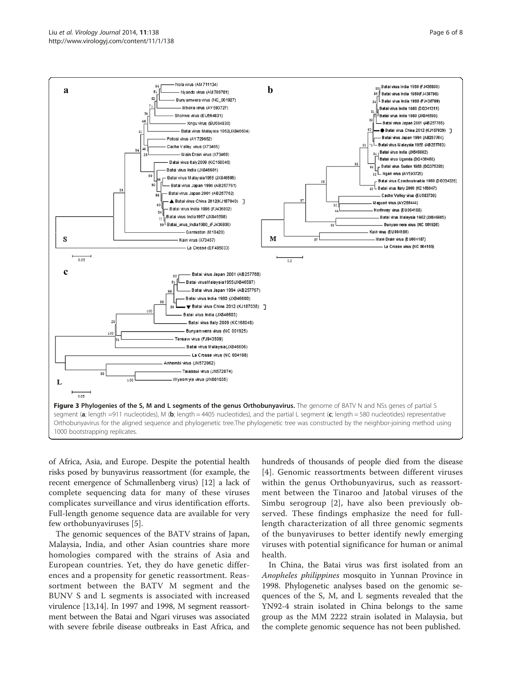<span id="page-5-0"></span>

of Africa, Asia, and Europe. Despite the potential health risks posed by bunyavirus reassortment (for example, the recent emergence of Schmallenberg virus) [[12](#page-7-0)] a lack of complete sequencing data for many of these viruses complicates surveillance and virus identification efforts. Full-length genome sequence data are available for very few orthobunyaviruses [\[5](#page-6-0)].

The genomic sequences of the BATV strains of Japan, Malaysia, India, and other Asian countries share more homologies compared with the strains of Asia and European countries. Yet, they do have genetic differences and a propensity for genetic reassortment. Reassortment between the BATV M segment and the BUNV S and L segments is associated with increased virulence [[13,14\]](#page-7-0). In 1997 and 1998, M segment reassortment between the Batai and Ngari viruses was associated with severe febrile disease outbreaks in East Africa, and

hundreds of thousands of people died from the disease [[4](#page-6-0)]. Genomic reassortments between different viruses within the genus Orthobunyavirus, such as reassortment between the Tinaroo and Jatobal viruses of the Simbu serogroup [\[2](#page-6-0)], have also been previously observed. These findings emphasize the need for fulllength characterization of all three genomic segments of the bunyaviruses to better identify newly emerging viruses with potential significance for human or animal health.

In China, the Batai virus was first isolated from an Anopheles philippines mosquito in Yunnan Province in 1998. Phylogenetic analyses based on the genomic sequences of the S, M, and L segments revealed that the YN92-4 strain isolated in China belongs to the same group as the MM 2222 strain isolated in Malaysia, but the complete genomic sequence has not been published.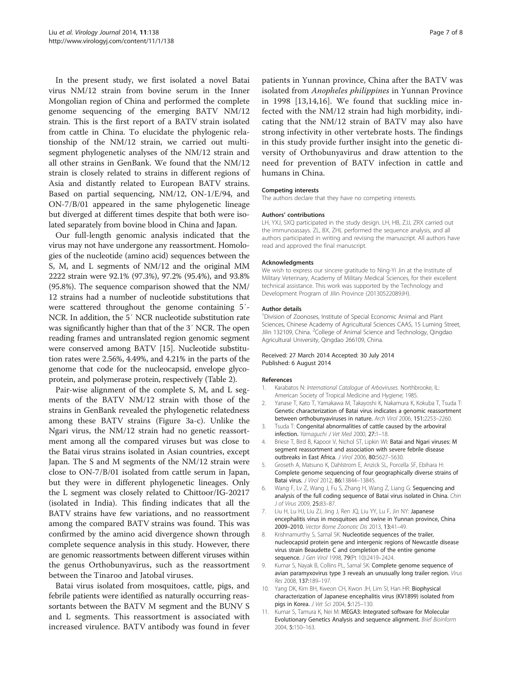<span id="page-6-0"></span>In the present study, we first isolated a novel Batai virus NM/12 strain from bovine serum in the Inner Mongolian region of China and performed the complete genome sequencing of the emerging BATV NM/12 strain. This is the first report of a BATV strain isolated from cattle in China. To elucidate the phylogenic relationship of the NM/12 strain, we carried out multisegment phylogenetic analyses of the NM/12 strain and all other strains in GenBank. We found that the NM/12 strain is closely related to strains in different regions of Asia and distantly related to European BATV strains. Based on partial sequencing, NM/12, ON-1/E/94, and ON-7/B/01 appeared in the same phylogenetic lineage but diverged at different times despite that both were isolated separately from bovine blood in China and Japan.

Our full-length genomic analysis indicated that the virus may not have undergone any reassortment. Homologies of the nucleotide (amino acid) sequences between the S, M, and L segments of NM/12 and the original MM 2222 strain were 92.1% (97.3%), 97.2% (95.4%), and 93.8% (95.8%). The sequence comparison showed that the NM/ 12 strains had a number of nucleotide substitutions that were scattered throughout the genome containing 5′- NCR. In addition, the 5′ NCR nucleotide substitution rate was significantly higher than that of the 3′ NCR. The open reading frames and untranslated region genomic segment were conserved among BATV [[15](#page-7-0)]. Nucleotide substitution rates were 2.56%, 4.49%, and 4.21% in the parts of the genome that code for the nucleocapsid, envelope glycoprotein, and polymerase protein, respectively (Table [2\)](#page-4-0).

Pair-wise alignment of the complete S, M, and L segments of the BATV NM/12 strain with those of the strains in GenBank revealed the phylogenetic relatedness among these BATV strains (Figure [3](#page-5-0)a-c). Unlike the Ngari virus, the NM/12 strain had no genetic reassortment among all the compared viruses but was close to the Batai virus strains isolated in Asian countries, except Japan. The S and M segments of the NM/12 strain were close to ON-7/B/01 isolated from cattle serum in Japan, but they were in different phylogenetic lineages. Only the L segment was closely related to Chittoor/IG-20217 (isolated in India). This finding indicates that all the BATV strains have few variations, and no reassortment among the compared BATV strains was found. This was confirmed by the amino acid divergence shown through complete sequence analysis in this study. However, there are genomic reassortments between different viruses within the genus Orthobunyavirus, such as the reassortment between the Tinaroo and Jatobal viruses.

Batai virus isolated from mosquitoes, cattle, pigs, and febrile patients were identified as naturally occurring reassortants between the BATV M segment and the BUNV S and L segments. This reassortment is associated with increased virulence. BATV antibody was found in fever

patients in Yunnan province, China after the BATV was isolated from Anopheles philippines in Yunnan Province in 1998 [\[13](#page-7-0),[14,16\]](#page-7-0). We found that suckling mice infected with the NM/12 strain had high morbidity, indicating that the NM/12 strain of BATV may also have strong infectivity in other vertebrate hosts. The findings in this study provide further insight into the genetic diversity of Orthobunyavirus and draw attention to the need for prevention of BATV infection in cattle and humans in China.

## Competing interests

The authors declare that they have no competing interests.

## Authors' contributions

LH, YXJ, SXQ participated in the study design. LH, HB, ZJJ, ZRX carried out the immunoassays. ZL, BX, ZHL performed the sequence analysis, and all authors participated in writing and revising the manuscript. All authors have read and approved the final manuscript.

## Acknowledgments

We wish to express our sincere gratitude to Ning-Yi Jin at the Institute of Military Veterinary, Academy of Military Medical Sciences, for their excellent technical assistance. This work was supported by the Technology and Development Program of Jilin Province (20130522089JH).

#### Author details

<sup>1</sup> Division of Zoonoses, Institute of Special Economic Animal and Plant Sciences, Chinese Academy of Agricultural Sciences CAAS, 15 Luming Street, Jilin 132109, China. <sup>2</sup>College of Animal Science and Technology, Qingdao Agricultural University, Qingdao 266109, China.

## Received: 27 March 2014 Accepted: 30 July 2014 Published: 6 August 2014

## References

- 1. Karabatos N: International Catalogue of Arboviruses. Northbrooke, IL: American Society of Tropical Medicine and Hygiene; 1985.
- 2. Yanase T, Kato T, Yamakawa M, Takayoshi K, Nakamura K, Kokuba T, Tsuda T: Genetic characterization of Batai virus indicates a genomic reassortment between orthobunyaviruses in nature. Arch Virol 2006, 151:2253–2260.
- 3. Tsuda T: Congenital abnormalities of cattle caused by the arboviral infection. Yamaguchi J Vet Med 2000, 27:1–18.
- 4. Briese T, Bird B, Kapoor V, Nichol ST, Lipkin WI: Batai and Ngari viruses: M segment reassortment and association with severe febrile disease outbreaks in East Africa. J Virol 2006, 80:5627–5630.
- 5. Groseth A, Matsuno K, Dahlstrom E, Anzick SL, Porcella SF, Ebihara H: Complete genome sequencing of four geographically diverse strains of Batai virus. J Virol 2012, 86:13844–13845.
- 6. Wang F, Lv Z, Wang J, Fu S, Zhang H, Wang Z, Liang G: Sequencing and analysis of the full coding sequence of Batai virus isolated in China. Chin J of Virus 2009, 25:83–87.
- 7. Liu H, Lu HJ, Liu ZJ, Jing J, Ren JQ, Liu YY, Lu F, Jin NY: Japanese encephalitis virus in mosquitoes and swine in Yunnan province, China 2009–2010. Vector Borne Zoonotic Dis 2013, 13:41–49.
- 8. Krishnamurthy S, Samal SK: Nucleotide sequences of the trailer, nucleocapsid protein gene and intergenic regions of Newcastle disease virus strain Beaudette C and completion of the entire genome sequence. J Gen Virol 1998, 79(Pt 10):2419–2424.
- 9. Kumar S, Nayak B, Collins PL, Samal SK: Complete genome sequence of avian paramyxovirus type 3 reveals an unusually long trailer region. Virus Res 2008, 137:189–197.
- 10. Yang DK, Kim BH, Kweon CH, Kwon JH, Lim SI, Han HR: Biophysical characterization of Japanese encephalitis virus (KV1899) isolated from pigs in Korea. J Vet Sci 2004, 5:125–130.
- 11. Kumar S, Tamura K, Nei M: MEGA3: Integrated software for Molecular Evolutionary Genetics Analysis and sequence alignment. Brief Bioinform 2004, 5:150–163.